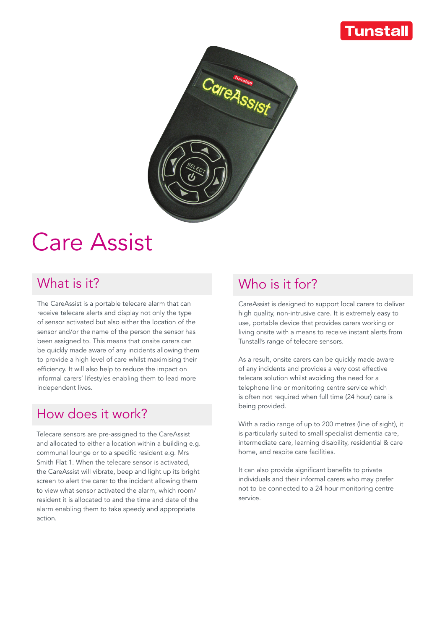# Tunstall



# Care Assist

### What is it?

The CareAssist is a portable telecare alarm that can receive telecare alerts and display not only the type of sensor activated but also either the location of the sensor and/or the name of the person the sensor has been assigned to. This means that onsite carers can be quickly made aware of any incidents allowing them to provide a high level of care whilst maximising their efficiency. It will also help to reduce the impact on informal carers' lifestyles enabling them to lead more independent lives.

#### How does it work?

Telecare sensors are pre-assigned to the CareAssist and allocated to either a location within a building e.g. communal lounge or to a specific resident e.g. Mrs Smith Flat 1. When the telecare sensor is activated, the CareAssist will vibrate, beep and light up its bright screen to alert the carer to the incident allowing them to view what sensor activated the alarm, which room/ resident it is allocated to and the time and date of the alarm enabling them to take speedy and appropriate action.

### Who is it for?

CareAssist is designed to support local carers to deliver high quality, non-intrusive care. It is extremely easy to use, portable device that provides carers working or living onsite with a means to receive instant alerts from Tunstall's range of telecare sensors.

As a result, onsite carers can be quickly made aware of any incidents and provides a very cost effective telecare solution whilst avoiding the need for a telephone line or monitoring centre service which is often not required when full time (24 hour) care is being provided.

With a radio range of up to 200 metres (line of sight), it is particularly suited to small specialist dementia care, intermediate care, learning disability, residential & care home, and respite care facilities.

It can also provide significant benefits to private individuals and their informal carers who may prefer not to be connected to a 24 hour monitoring centre service.